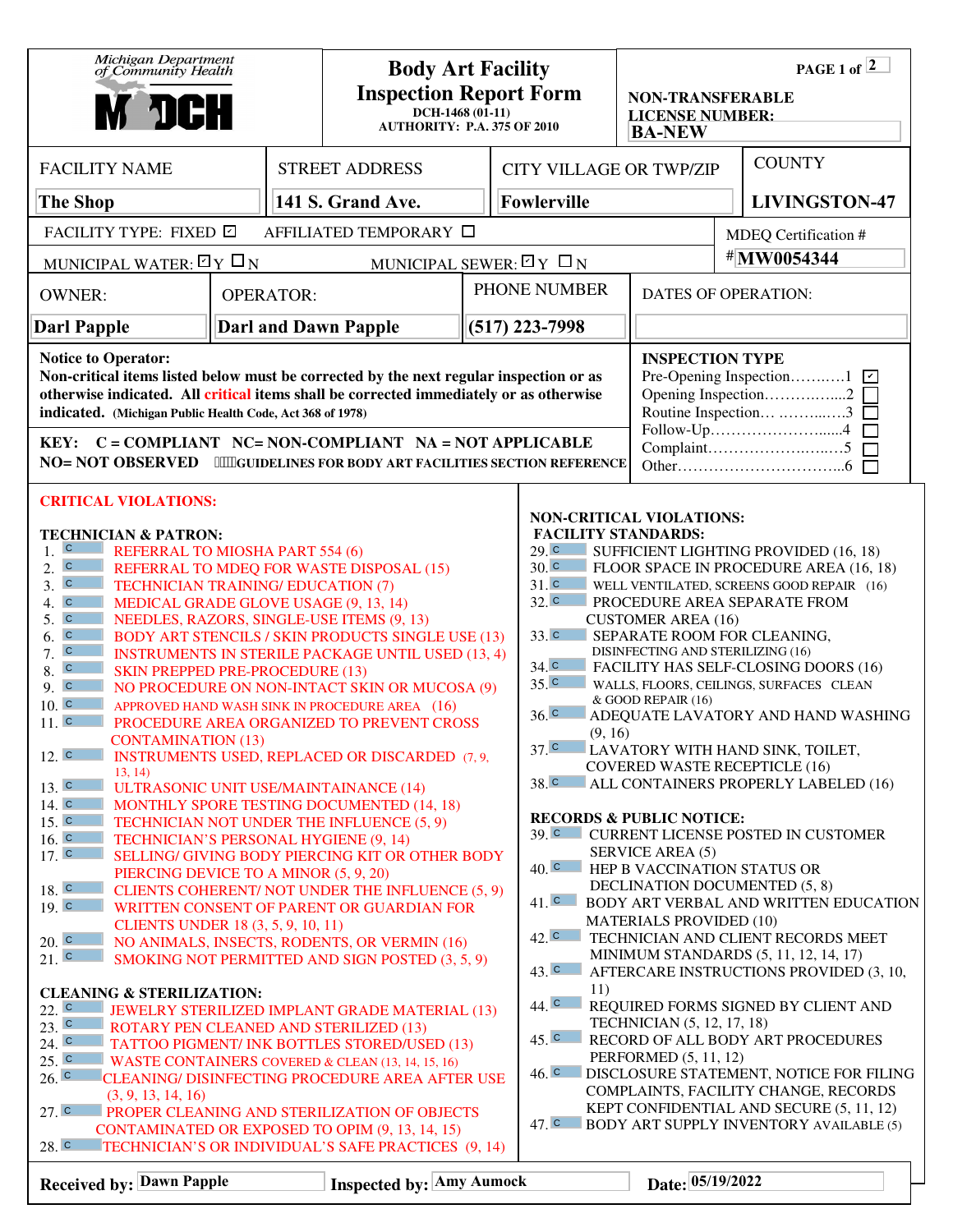| Michigan Department<br>of Community Health<br><b>M JCH</b>                                                                                                                                                                                                                                                                                                                                                                                                                                                                                                                                                                                                                                                                                                                                                                                                                                                                                                                                                                                                                                                                                                                                                                                                                                                                                                                                                                                                                                                                                                                                                                                                                                                                                                                                                                                                                                                                                                                                |                                 |  | <b>Body Art Facility</b><br><b>Inspection Report Form</b><br>$DCH-1468(01-11)$<br><b>AUTHORITY: P.A. 375 OF 2010</b> |                                       |                                                                                                                                                                                                                                                                                                                                                                                                                                                                                                                                                                                                                                                                                                                                                                                                                                                                                                                                                                                                                                                                                                                                                                                                                                                                                                                                                                                                                                                                                                                                                                      | PAGE 1 of $\sqrt{2}$<br><b>NON-TRANSFERABLE</b><br><b>LICENSE NUMBER:</b><br><b>BA-NEW</b> |                            |                                                    |  |
|-------------------------------------------------------------------------------------------------------------------------------------------------------------------------------------------------------------------------------------------------------------------------------------------------------------------------------------------------------------------------------------------------------------------------------------------------------------------------------------------------------------------------------------------------------------------------------------------------------------------------------------------------------------------------------------------------------------------------------------------------------------------------------------------------------------------------------------------------------------------------------------------------------------------------------------------------------------------------------------------------------------------------------------------------------------------------------------------------------------------------------------------------------------------------------------------------------------------------------------------------------------------------------------------------------------------------------------------------------------------------------------------------------------------------------------------------------------------------------------------------------------------------------------------------------------------------------------------------------------------------------------------------------------------------------------------------------------------------------------------------------------------------------------------------------------------------------------------------------------------------------------------------------------------------------------------------------------------------------------------|---------------------------------|--|----------------------------------------------------------------------------------------------------------------------|---------------------------------------|----------------------------------------------------------------------------------------------------------------------------------------------------------------------------------------------------------------------------------------------------------------------------------------------------------------------------------------------------------------------------------------------------------------------------------------------------------------------------------------------------------------------------------------------------------------------------------------------------------------------------------------------------------------------------------------------------------------------------------------------------------------------------------------------------------------------------------------------------------------------------------------------------------------------------------------------------------------------------------------------------------------------------------------------------------------------------------------------------------------------------------------------------------------------------------------------------------------------------------------------------------------------------------------------------------------------------------------------------------------------------------------------------------------------------------------------------------------------------------------------------------------------------------------------------------------------|--------------------------------------------------------------------------------------------|----------------------------|----------------------------------------------------|--|
| <b>FACILITY NAME</b>                                                                                                                                                                                                                                                                                                                                                                                                                                                                                                                                                                                                                                                                                                                                                                                                                                                                                                                                                                                                                                                                                                                                                                                                                                                                                                                                                                                                                                                                                                                                                                                                                                                                                                                                                                                                                                                                                                                                                                      |                                 |  |                                                                                                                      |                                       |                                                                                                                                                                                                                                                                                                                                                                                                                                                                                                                                                                                                                                                                                                                                                                                                                                                                                                                                                                                                                                                                                                                                                                                                                                                                                                                                                                                                                                                                                                                                                                      |                                                                                            |                            | <b>COUNTY</b>                                      |  |
| <b>The Shop</b>                                                                                                                                                                                                                                                                                                                                                                                                                                                                                                                                                                                                                                                                                                                                                                                                                                                                                                                                                                                                                                                                                                                                                                                                                                                                                                                                                                                                                                                                                                                                                                                                                                                                                                                                                                                                                                                                                                                                                                           |                                 |  |                                                                                                                      |                                       |                                                                                                                                                                                                                                                                                                                                                                                                                                                                                                                                                                                                                                                                                                                                                                                                                                                                                                                                                                                                                                                                                                                                                                                                                                                                                                                                                                                                                                                                                                                                                                      |                                                                                            |                            | <b>LIVINGSTON-47</b>                               |  |
| FACILITY TYPE: FIXED 回                                                                                                                                                                                                                                                                                                                                                                                                                                                                                                                                                                                                                                                                                                                                                                                                                                                                                                                                                                                                                                                                                                                                                                                                                                                                                                                                                                                                                                                                                                                                                                                                                                                                                                                                                                                                                                                                                                                                                                    |                                 |  |                                                                                                                      |                                       |                                                                                                                                                                                                                                                                                                                                                                                                                                                                                                                                                                                                                                                                                                                                                                                                                                                                                                                                                                                                                                                                                                                                                                                                                                                                                                                                                                                                                                                                                                                                                                      |                                                                                            | MDEQ Certification #       |                                                    |  |
| MUNICIPAL WATER: $\boxdot$ Y $\Box$ N                                                                                                                                                                                                                                                                                                                                                                                                                                                                                                                                                                                                                                                                                                                                                                                                                                                                                                                                                                                                                                                                                                                                                                                                                                                                                                                                                                                                                                                                                                                                                                                                                                                                                                                                                                                                                                                                                                                                                     |                                 |  |                                                                                                                      | MUNICIPAL SEWER: $\boxdot$ Y $\Box$ N |                                                                                                                                                                                                                                                                                                                                                                                                                                                                                                                                                                                                                                                                                                                                                                                                                                                                                                                                                                                                                                                                                                                                                                                                                                                                                                                                                                                                                                                                                                                                                                      |                                                                                            | #MW0054344                 |                                                    |  |
| <b>OWNER:</b><br><b>OPERATOR:</b>                                                                                                                                                                                                                                                                                                                                                                                                                                                                                                                                                                                                                                                                                                                                                                                                                                                                                                                                                                                                                                                                                                                                                                                                                                                                                                                                                                                                                                                                                                                                                                                                                                                                                                                                                                                                                                                                                                                                                         |                                 |  |                                                                                                                      |                                       |                                                                                                                                                                                                                                                                                                                                                                                                                                                                                                                                                                                                                                                                                                                                                                                                                                                                                                                                                                                                                                                                                                                                                                                                                                                                                                                                                                                                                                                                                                                                                                      |                                                                                            | <b>DATES OF OPERATION:</b> |                                                    |  |
| <b>Darl Papple</b>                                                                                                                                                                                                                                                                                                                                                                                                                                                                                                                                                                                                                                                                                                                                                                                                                                                                                                                                                                                                                                                                                                                                                                                                                                                                                                                                                                                                                                                                                                                                                                                                                                                                                                                                                                                                                                                                                                                                                                        |                                 |  | $(517)$ 223-7998                                                                                                     |                                       |                                                                                                                                                                                                                                                                                                                                                                                                                                                                                                                                                                                                                                                                                                                                                                                                                                                                                                                                                                                                                                                                                                                                                                                                                                                                                                                                                                                                                                                                                                                                                                      |                                                                                            |                            |                                                    |  |
| <b>Notice to Operator:</b><br>Non-critical items listed below must be corrected by the next regular inspection or as<br>otherwise indicated. All critical items shall be corrected immediately or as otherwise<br>indicated. (Michigan Public Health Code, Act 368 of 1978)<br>KEY: C = COMPLIANT NC= NON-COMPLIANT NA = NOT APPLICABLE<br>NO= NOT OBSERVED *"HGUIDELINES FOR BODY ART FACILITIES SECTION REFERENCE                                                                                                                                                                                                                                                                                                                                                                                                                                                                                                                                                                                                                                                                                                                                                                                                                                                                                                                                                                                                                                                                                                                                                                                                                                                                                                                                                                                                                                                                                                                                                                       |                                 |  |                                                                                                                      |                                       |                                                                                                                                                                                                                                                                                                                                                                                                                                                                                                                                                                                                                                                                                                                                                                                                                                                                                                                                                                                                                                                                                                                                                                                                                                                                                                                                                                                                                                                                                                                                                                      | <b>INSPECTION TYPE</b><br>Opening Inspection2<br>Routine Inspection 3                      |                            |                                                    |  |
| <b>TECHNICIAN &amp; PATRON:</b><br>$ {\bf C} $<br>1.<br>REFERRAL TO MIOSHA PART 554 (6)<br>$\overline{c}$<br>2.<br>REFERRAL TO MDEQ FOR WASTE DISPOSAL (15)<br>3. c<br><b>TECHNICIAN TRAINING/ EDUCATION (7)</b><br>4. c<br>MEDICAL GRADE GLOVE USAGE (9, 13, 14)<br>5. c<br>NEEDLES, RAZORS, SINGLE-USE ITEMS (9, 13)<br>$\overline{C}$<br><b>BODY ART STENCILS / SKIN PRODUCTS SINGLE USE (13)</b><br>6.<br>$\overline{C}$<br>7.<br><b>INSTRUMENTS IN STERILE PACKAGE UNTIL USED (13, 4)</b><br>$\overline{c}$<br>8.<br><b>SKIN PREPPED PRE-PROCEDURE (13)</b><br>9. c<br>NO PROCEDURE ON NON-INTACT SKIN OR MUCOSA (9)<br>10 <sub>1</sub><br>APPROVED HAND WASH SINK IN PROCEDURE AREA (16)<br>11. c<br>PROCEDURE AREA ORGANIZED TO PREVENT CROSS<br><b>CONTAMINATION (13)</b><br>12. c<br><b>INSTRUMENTS USED, REPLACED OR DISCARDED (7, 9,</b><br>13, 14)<br>13. c<br><b>ULTRASONIC UNIT USE/MAINTAINANCE (14)</b><br>14. c<br>MONTHLY SPORE TESTING DOCUMENTED (14, 18)<br>15. c<br>TECHNICIAN NOT UNDER THE INFLUENCE (5, 9)<br>16. c<br>TECHNICIAN'S PERSONAL HYGIENE (9, 14)<br>17. c<br>SELLING/ GIVING BODY PIERCING KIT OR OTHER BODY<br>PIERCING DEVICE TO A MINOR (5, 9, 20)<br>18. c<br>CLIENTS COHERENT/ NOT UNDER THE INFLUENCE (5, 9)<br>19. c<br>WRITTEN CONSENT OF PARENT OR GUARDIAN FOR<br><b>CLIENTS UNDER 18 (3, 5, 9, 10, 11)</b><br>$20.$ C<br>NO ANIMALS, INSECTS, RODENTS, OR VERMIN (16)<br>$21.$ C<br>SMOKING NOT PERMITTED AND SIGN POSTED (3, 5, 9)<br><b>CLEANING &amp; STERILIZATION:</b><br>$22.$ C<br>JEWELRY STERILIZED IMPLANT GRADE MATERIAL (13)<br>$23.$ C<br><b>ROTARY PEN CLEANED AND STERILIZED (13)</b><br>24. c<br>TATTOO PIGMENT/ INK BOTTLES STORED/USED (13)<br>25. c<br>WASTE CONTAINERS COVERED & CLEAN (13, 14, 15, 16)<br>26. c<br>CLEANING/ DISINFECTING PROCEDURE AREA AFTER USE<br>(3, 9, 13, 14, 16)<br>27. c<br><b>PROPER CLEANING AND STERILIZATION OF OBJECTS</b><br>CONTAMINATED OR EXPOSED TO OPIM (9, 13, 14, 15)<br>28. c |                                 |  |                                                                                                                      |                                       | <b>NON-CRITICAL VIOLATIONS:</b><br><b>FACILITY STANDARDS:</b><br>29. c<br>SUFFICIENT LIGHTING PROVIDED (16, 18)<br>30 <sup>°</sup><br>FLOOR SPACE IN PROCEDURE AREA (16, 18)<br>31. c<br>WELL VENTILATED, SCREENS GOOD REPAIR (16)<br>32. c<br>PROCEDURE AREA SEPARATE FROM<br><b>CUSTOMER AREA (16)</b><br>33. c<br>SEPARATE ROOM FOR CLEANING,<br>DISINFECTING AND STERILIZING (16)<br>34. c<br>FACILITY HAS SELF-CLOSING DOORS (16)<br>35 <sup>°</sup><br>WALLS, FLOORS, CEILINGS, SURFACES CLEAN<br>& GOOD REPAIR (16)<br>36 <sup>C</sup><br>ADEQUATE LAVATORY AND HAND WASHING<br>(9, 16)<br>37 <sup>°</sup><br>LAVATORY WITH HAND SINK, TOILET,<br><b>COVERED WASTE RECEPTICLE (16)</b><br>38. c<br>ALL CONTAINERS PROPERLY LABELED (16)<br><b>RECORDS &amp; PUBLIC NOTICE:</b><br>$391$ C<br><b>CURRENT LICENSE POSTED IN CUSTOMER</b><br><b>SERVICE AREA (5)</b><br>40 <sup>c</sup><br>HEP B VACCINATION STATUS OR<br>DECLINATION DOCUMENTED (5, 8)<br>$41.$ C<br>BODY ART VERBAL AND WRITTEN EDUCATION<br><b>MATERIALS PROVIDED (10)</b><br>42. c<br>TECHNICIAN AND CLIENT RECORDS MEET<br>MINIMUM STANDARDS (5, 11, 12, 14, 17)<br>43. c<br>AFTERCARE INSTRUCTIONS PROVIDED (3, 10,<br>11)<br>44. C<br>REQUIRED FORMS SIGNED BY CLIENT AND<br>TECHNICIAN (5, 12, 17, 18)<br>$45.$ $\degree$<br>RECORD OF ALL BODY ART PROCEDURES<br>PERFORMED (5, 11, 12)<br>$46. \degree$<br>DISCLOSURE STATEMENT, NOTICE FOR FILING<br>COMPLAINTS, FACILITY CHANGE, RECORDS<br>KEPT CONFIDENTIAL AND SECURE (5, 11, 12)<br>47. C BODY ART SUPPLY INVENTORY AVAILABLE (5) |                                                                                            |                            |                                                    |  |
|                                                                                                                                                                                                                                                                                                                                                                                                                                                                                                                                                                                                                                                                                                                                                                                                                                                                                                                                                                                                                                                                                                                                                                                                                                                                                                                                                                                                                                                                                                                                                                                                                                                                                                                                                                                                                                                                                                                                                                                           |                                 |  |                                                                                                                      |                                       |                                                                                                                                                                                                                                                                                                                                                                                                                                                                                                                                                                                                                                                                                                                                                                                                                                                                                                                                                                                                                                                                                                                                                                                                                                                                                                                                                                                                                                                                                                                                                                      |                                                                                            |                            |                                                    |  |
| <b>CRITICAL VIOLATIONS:</b>                                                                                                                                                                                                                                                                                                                                                                                                                                                                                                                                                                                                                                                                                                                                                                                                                                                                                                                                                                                                                                                                                                                                                                                                                                                                                                                                                                                                                                                                                                                                                                                                                                                                                                                                                                                                                                                                                                                                                               | <b>Received by: Dawn Papple</b> |  | <b>STREET ADDRESS</b><br>141 S. Grand Ave.<br><b>Darl and Dawn Papple</b>                                            | AFFILIATED TEMPORARY □                | TECHNICIAN'S OR INDIVIDUAL'S SAFE PRACTICES (9, 14)<br><b>Inspected by: Amy Aumock</b>                                                                                                                                                                                                                                                                                                                                                                                                                                                                                                                                                                                                                                                                                                                                                                                                                                                                                                                                                                                                                                                                                                                                                                                                                                                                                                                                                                                                                                                                               | <b>Fowlerville</b><br>PHONE NUMBER                                                         |                            | <b>CITY VILLAGE OR TWP/ZIP</b><br>Date: 05/19/2022 |  |